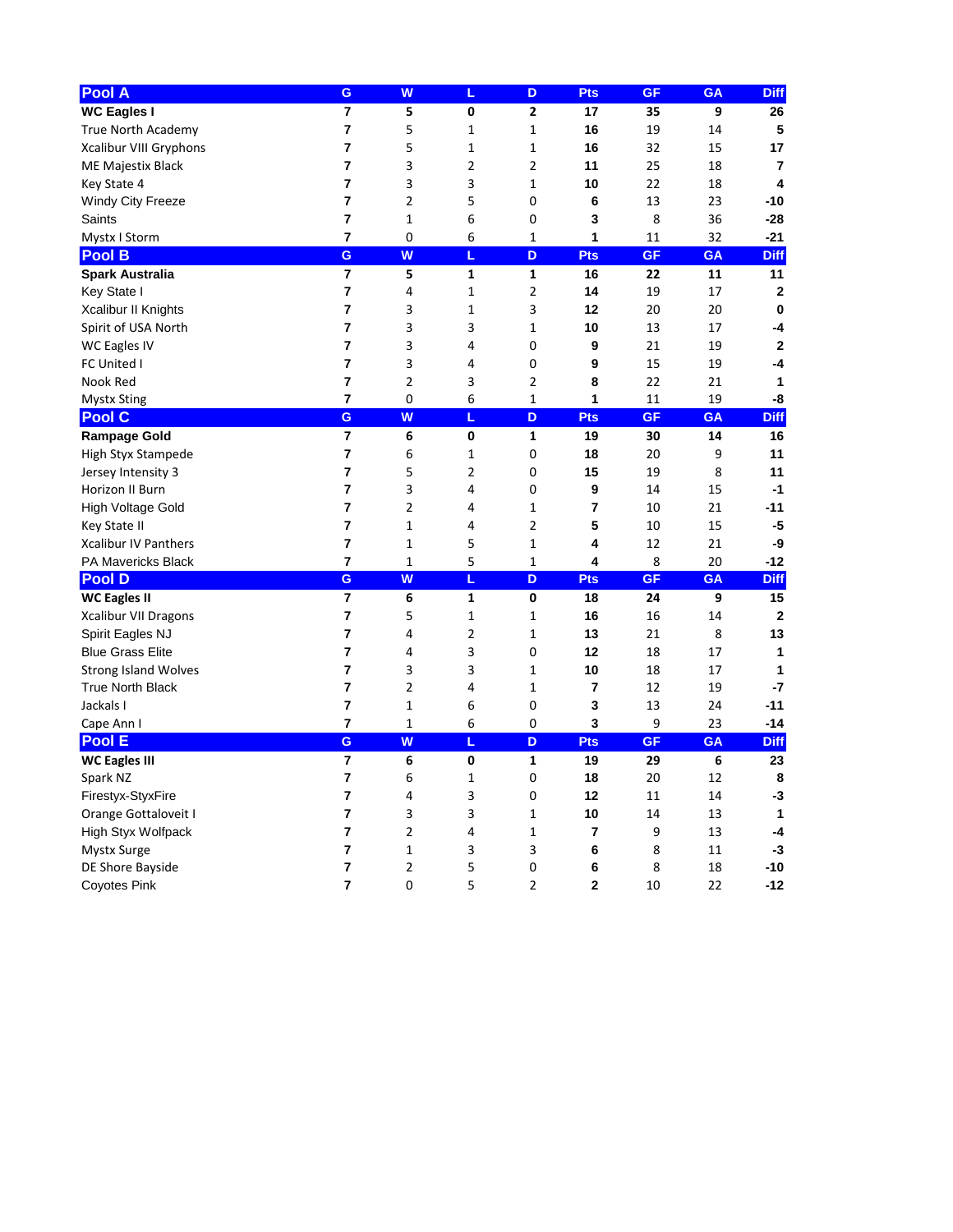| Pool A                      | G                       | W              | L              | D              | <b>Pts</b>  | <b>GF</b> | <b>GA</b>        | <b>Diff</b>      |
|-----------------------------|-------------------------|----------------|----------------|----------------|-------------|-----------|------------------|------------------|
| <b>WC Eagles I</b>          | 7                       | 5              | 0              | $\mathbf{2}$   | 17          | 35        | $\boldsymbol{9}$ | 26               |
| True North Academy          | 7                       | 5              | 1              | 1              | 16          | 19        | 14               | 5                |
| Xcalibur VIII Gryphons      | 7                       | 5              | 1              | 1              | 16          | 32        | 15               | 17               |
| ME Majestix Black           | 7                       | 3              | 2              | 2              | 11          | 25        | 18               | $\overline{7}$   |
| Key State 4                 | 7                       | 3              | 3              | 1              | 10          | 22        | 18               | 4                |
| Windy City Freeze           | 7                       | 2              | 5              | 0              | 6           | 13        | 23               | $-10$            |
| Saints                      | 7                       | 1              | 6              | 0              | 3           | 8         | 36               | $-28$            |
| Mystx I Storm               | $\overline{\mathbf{r}}$ | 0              | 6              | $\mathbf{1}$   | 1           | 11        | 32               | $-21$            |
| <b>Pool B</b>               | G                       | W              | L              | D              | <b>Pts</b>  | <b>GF</b> | <b>GA</b>        | <b>Diff</b>      |
| <b>Spark Australia</b>      | $\overline{\mathbf{r}}$ | 5              | 1              | $\mathbf{1}$   | 16          | 22        | 11               | 11               |
| Key State I                 | 7                       | 4              | 1              | $\overline{2}$ | 14          | 19        | 17               | $\boldsymbol{2}$ |
| Xcalibur II Knights         | 7                       | 3              | 1              | 3              | 12          | 20        | 20               | $\mathbf 0$      |
| Spirit of USA North         | 7                       | 3              | 3              | 1              | 10          | 13        | 17               | -4               |
| <b>WC Eagles IV</b>         | 7                       | 3              | 4              | 0              | 9           | 21        | 19               | $\boldsymbol{2}$ |
| FC United I                 | 7                       | 3              | 4              | 0              | 9           | 15        | 19               | $-4$             |
| Nook Red                    | 7                       | 2              | 3              | 2              | 8           | 22        | 21               | 1                |
| <b>Mystx Sting</b>          | 7                       | 0              | 6              | $\mathbf{1}$   | 1           | 11        | 19               | -8               |
| <b>Pool C</b>               | G                       | W              | L              | D              | <b>Pts</b>  | <b>GF</b> | <b>GA</b>        | <b>Diff</b>      |
| <b>Rampage Gold</b>         | $\overline{\mathbf{7}}$ | 6              | $\pmb{0}$      | $\mathbf{1}$   | 19          | 30        | 14               | 16               |
| <b>High Styx Stampede</b>   | 7                       | 6              | 1              | 0              | 18          | 20        | 9                | 11               |
| Jersey Intensity 3          | 7                       | 5              | $\overline{2}$ | 0              | 15          | 19        | 8                | 11               |
| Horizon II Burn             | 7                       | 3              | 4              | 0              | 9           | 14        | 15               | $-1$             |
| High Voltage Gold           | 7                       | 2              | 4              | 1              | 7           | 10        | 21               | $-11$            |
| Key State II                | 7                       | 1              | 4              | $\overline{2}$ | 5           | 10        | 15               | $-5$             |
| <b>Xcalibur IV Panthers</b> | 7                       | 1              | 5              | 1              | 4           | 12        | 21               | -9               |
| PA Mavericks Black          | 7                       | 1              | 5              | 1              | 4           | 8         | 20               | $-12$            |
| <b>Pool D</b>               | G                       | W              | L              | D              | <b>Pts</b>  | <b>GF</b> | <b>GA</b>        | <b>Diff</b>      |
| <b>WC Eagles II</b>         | $\overline{\mathbf{7}}$ | 6              | 1              | 0              | 18          | 24        | 9                | 15               |
| <b>Xcalibur VII Dragons</b> | 7                       | 5              | 1              | 1              | 16          | 16        | 14               | $\mathbf{2}$     |
| Spirit Eagles NJ            | 7                       | 4              | $\overline{2}$ | 1              | 13          | 21        | 8                | 13               |
| <b>Blue Grass Elite</b>     | 7                       | 4              | 3              | $\pmb{0}$      | 12          | 18        | 17               | 1                |
| <b>Strong Island Wolves</b> | 7                       | 3              | 3              | $\mathbf{1}$   | 10          | 18        | 17               |                  |
| <b>True North Black</b>     | 7                       | 2              | 4              | 1              | 7           | 12        | 19               | $-7$             |
| Jackals I                   | 7                       | 1              | 6              | 0              | 3           | 13        | 24               | $-11$            |
| Cape Ann I                  | $\overline{\mathbf{7}}$ | 1              | 6              | $\pmb{0}$      | 3           | 9         | 23               | $-14$            |
| <b>Pool E</b>               | G                       | W              | L              | $\mathbf D$    | <b>Pts</b>  | <b>GF</b> | <b>GA</b>        | <b>Diff</b>      |
| <b>WC Eagles III</b>        | $\overline{\mathbf{7}}$ | 6              | $\pmb{0}$      | $\mathbf{1}$   | 19          | 29        | 6                | 23               |
| Spark NZ                    | 7                       | 6              | 1              | 0              | 18          | 20        | 12               | 8                |
| Firestyx-StyxFire           | 7                       | 4              | 3              | 0              | 12          | 11        | 14               | $-3$             |
| Orange Gottaloveit I        | 7                       | 3              | 3              | 1              | 10          | 14        | 13               | 1                |
| High Styx Wolfpack          | 7                       | $\overline{2}$ | 4              | 1              | 7           | 9         | 13               | -4               |
| <b>Mystx Surge</b>          | 7                       | 1              | 3              | 3              | 6           | 8         | 11               | $-3$             |
| DE Shore Bayside            | 7                       | $\overline{2}$ | 5              | 0              | $\bf 6$     | 8         | 18               | $-10$            |
| <b>Coyotes Pink</b>         | $\overline{7}$          | $\pmb{0}$      | 5              | $\overline{2}$ | $\mathbf 2$ | $10\,$    | 22               | $-12$            |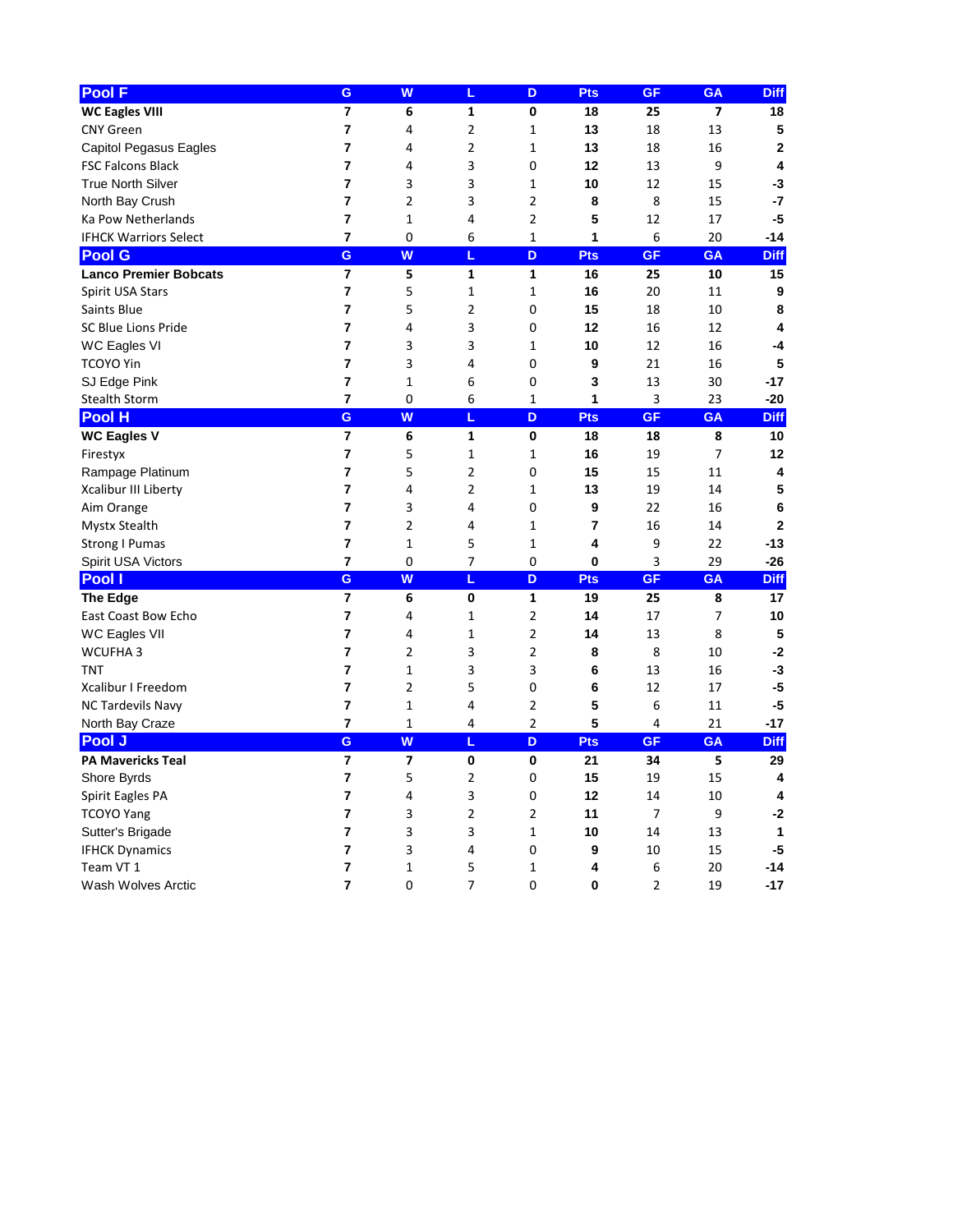| <b>Pool F</b>                 | G                       | W                       | L              | D              | <b>Pts</b> | <b>GF</b>      | <b>GA</b>      | <b>Diff</b>      |
|-------------------------------|-------------------------|-------------------------|----------------|----------------|------------|----------------|----------------|------------------|
| <b>WC Eagles VIII</b>         | 7                       | 6                       | 1              | 0              | 18         | 25             | 7              | 18               |
| <b>CNY Green</b>              | 7                       | 4                       | 2              | 1              | 13         | 18             | 13             | $\sqrt{5}$       |
| <b>Capitol Pegasus Eagles</b> | 7                       | 4                       | $\overline{2}$ | 1              | 13         | 18             | 16             | $\mathbf{2}$     |
| <b>FSC Falcons Black</b>      | 7                       | 4                       | 3              | 0              | 12         | 13             | 9              | 4                |
| <b>True North Silver</b>      | 7                       | 3                       | 3              | 1              | 10         | 12             | 15             | $-3$             |
| North Bay Crush               | 7                       | 2                       | 3              | $\overline{2}$ | 8          | 8              | 15             | $-7$             |
| Ka Pow Netherlands            | 7                       | 1                       | 4              | $\overline{2}$ | 5          | 12             | 17             | $-5$             |
| <b>IFHCK Warriors Select</b>  | $\overline{\mathbf{r}}$ | 0                       | 6              | $\mathbf{1}$   | 1          | 6              | 20             | $-14$            |
| <b>Pool G</b>                 | G                       | W                       | L              | D              | <b>Pts</b> | <b>GF</b>      | <b>GA</b>      | <b>Diff</b>      |
| <b>Lanco Premier Bobcats</b>  | $\overline{\mathbf{r}}$ | 5                       | 1              | $\mathbf{1}$   | 16         | 25             | 10             | 15               |
| Spirit USA Stars              | 7                       | 5                       | 1              | 1              | 16         | 20             | 11             | $\boldsymbol{9}$ |
| Saints Blue                   | 7                       | 5                       | $\overline{2}$ | 0              | 15         | 18             | 10             | 8                |
| <b>SC Blue Lions Pride</b>    | 7                       | 4                       | 3              | 0              | 12         | 16             | 12             | 4                |
| WC Eagles VI                  | 7                       | 3                       | 3              | 1              | 10         | 12             | 16             | -4               |
| <b>TCOYO Yin</b>              | 7                       | 3                       | 4              | 0              | 9          | 21             | 16             | 5                |
| SJ Edge Pink                  | 7                       | 1                       | 6              | 0              | 3          | 13             | 30             | $-17$            |
| <b>Stealth Storm</b>          | 7                       | 0                       | 6              | 1              | 1          | 3              | 23             | $-20$            |
| <b>Pool H</b>                 | G                       | W                       | L              | D              | <b>Pts</b> | <b>GF</b>      | <b>GA</b>      | <b>Diff</b>      |
| <b>WC Eagles V</b>            | $\overline{7}$          | 6                       | $\mathbf{1}$   | $\mathbf 0$    | 18         | 18             | 8              | 10               |
| Firestyx                      | 7                       | 5                       | $\mathbf{1}$   | 1              | 16         | 19             | $\overline{7}$ | 12               |
| Rampage Platinum              | 7                       | 5                       | $\overline{2}$ | 0              | 15         | 15             | 11             | 4                |
| Xcalibur III Liberty          | 7                       | 4                       | 2              | 1              | 13         | 19             | 14             | $5\phantom{.0}$  |
| Aim Orange                    | 7                       | 3                       | 4              | 0              | 9          | 22             | 16             | $\bf 6$          |
| <b>Mystx Stealth</b>          | 7                       | 2                       | 4              | 1              | 7          | 16             | 14             | $\mathbf 2$      |
| <b>Strong I Pumas</b>         | 7                       | 1                       | 5              | 1              | 4          | 9              | 22             | $-13$            |
| Spirit USA Victors            | 7                       | 0                       | 7              | $\pmb{0}$      | 0          | 3              | 29             | $-26$            |
| Pool I                        | G                       | W                       | L              | D              | <b>Pts</b> | <b>GF</b>      | <b>GA</b>      | <b>Diff</b>      |
| <b>The Edge</b>               | $\overline{7}$          | 6                       | 0              | $\mathbf{1}$   | 19         | 25             | 8              | 17               |
| <b>East Coast Bow Echo</b>    | 7                       | 4                       | 1              | $\overline{2}$ | 14         | 17             | 7              | 10               |
| WC Eagles VII                 | 7                       | 4                       | 1              | $\overline{2}$ | 14         | 13             | 8              | 5                |
| WCUFHA 3                      | 7                       | $\overline{2}$          | 3              | $\overline{2}$ | 8          | 8              | 10             | $-2$             |
| <b>TNT</b>                    | 7                       | 1                       | 3              | 3              | 6          | 13             | 16             | $-3$             |
| <b>Xcalibur I Freedom</b>     | 7                       | $\overline{2}$          | 5              | 0              | 6          | 12             | 17             | $-5$             |
| <b>NC Tardevils Navy</b>      | 7                       | 1                       | 4              | $\overline{2}$ | 5          | 6              | 11             | $-5$             |
| North Bay Craze               | $\overline{\mathbf{7}}$ | 1                       | $\overline{a}$ | 2              | 5          | $\overline{a}$ | 21             | $-17$            |
| <b>Pool J</b>                 | G                       | W                       | L              | D              | <b>Pts</b> | <b>GF</b>      | <b>GA</b>      | <b>Diff</b>      |
| <b>PA Mavericks Teal</b>      | $\overline{7}$          | $\overline{\mathbf{z}}$ | $\pmb{0}$      | $\pmb{0}$      | 21         | 34             | 5              | 29               |
| Shore Byrds                   | 7                       | 5                       | $\overline{2}$ | 0              | 15         | 19             | 15             | 4                |
| Spirit Eagles PA              | 7                       | 4                       | 3              | 0              | 12         | 14             | 10             | 4                |
| <b>TCOYO Yang</b>             | 7                       | 3                       | $\overline{2}$ | $\overline{2}$ | 11         | 7              | 9              | $-2$             |
| Sutter's Brigade              | 7                       | 3                       | 3              | $\mathbf{1}$   | 10         | 14             | 13             | 1                |
| <b>IFHCK Dynamics</b>         | 7                       | 3                       | 4              | 0              | 9          | 10             | 15             | $-5$             |
| Team VT 1                     | 7                       | 1                       | 5              | $\mathbf{1}$   | 4          | 6              | 20             | $-14$            |
| Wash Wolves Arctic            | $\overline{\mathbf{7}}$ | 0                       | $\overline{7}$ | 0              | $\pmb{0}$  | 2              | 19             | $-17$            |